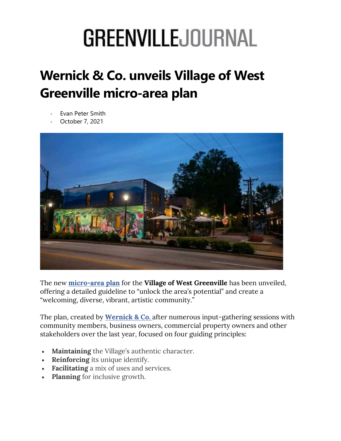# **GREENVILLEJOURNAL**

## Wernick & Co. unveils Village of West Greenville micro-area plan

- Evan Peter Smith
- October 7, 2021



The new micro-area plan for the Village of West Greenville has been unveiled, offering a detailed guideline to "unlock the area's potential" and create a "welcoming, diverse, vibrant, artistic community."

The plan, created by **Wernick & Co.** after numerous input-gathering sessions with community members, business owners, commercial property owners and other stakeholders over the last year, focused on four guiding principles:

- Maintaining the Village's authentic character.
- Reinforcing its unique identify.
- Facilitating a mix of uses and services.
- Planning for inclusive growth.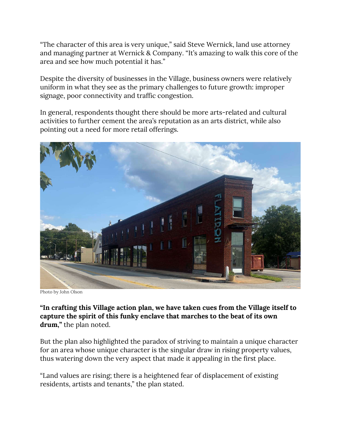"The character of this area is very unique," said Steve Wernick, land use attorney and managing partner at Wernick & Company. "It's amazing to walk this core of the area and see how much potential it has."

Despite the diversity of businesses in the Village, business owners were relatively uniform in what they see as the primary challenges to future growth: improper signage, poor connectivity and traffic congestion.

In general, respondents thought there should be more arts-related and cultural activities to further cement the area's reputation as an arts district, while also pointing out a need for more retail offerings.



Photo by John Olson

"In crafting this Village action plan, we have taken cues from the Village itself to capture the spirit of this funky enclave that marches to the beat of its own drum," the plan noted.

But the plan also highlighted the paradox of striving to maintain a unique character for an area whose unique character is the singular draw in rising property values, thus watering down the very aspect that made it appealing in the first place.

"Land values are rising; there is a heightened fear of displacement of existing residents, artists and tenants," the plan stated.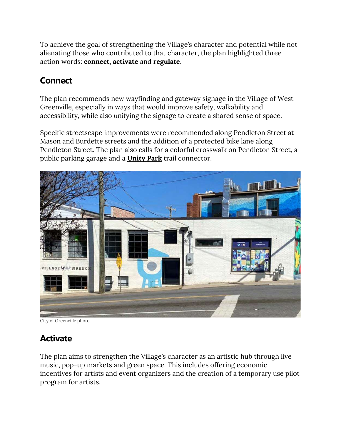To achieve the goal of strengthening the Village's character and potential while not alienating those who contributed to that character, the plan highlighted three action words: connect, activate and regulate.

#### **Connect**

The plan recommends new wayfinding and gateway signage in the Village of West Greenville, especially in ways that would improve safety, walkability and accessibility, while also unifying the signage to create a shared sense of space.

Specific streetscape improvements were recommended along Pendleton Street at Mason and Burdette streets and the addition of a protected bike lane along Pendleton Street. The plan also calls for a colorful crosswalk on Pendleton Street, a public parking garage and a Unity Park trail connector.



City of Greenville photo

### Activate

The plan aims to strengthen the Village's character as an artistic hub through live music, pop-up markets and green space. This includes offering economic incentives for artists and event organizers and the creation of a temporary use pilot program for artists.